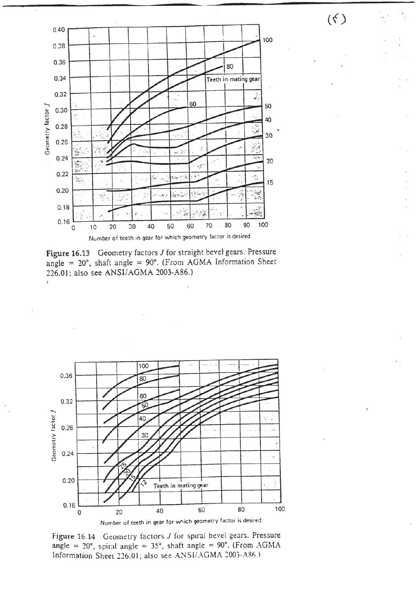$(\zeta)$ 



Figure 16.13 Geometry factors *J* for straight bevel gears. Pressure angle =  $20^{\circ}$ , shaft angle =  $90^{\circ}$ . (From AGMA Information Sheet 226.01; also see ANSI/AGMA 2003-A86.)

 $\ddot{\phantom{a}}$ 



Figure 16.14 Geometry factors *J* for spiral bevel gears. Pressure angle =  $20^{\circ}$ , spiral angle =  $35^{\circ}$ , shaft angle =  $90^{\circ}$ . (From AGMA Information Sheet 226.01; also see ANSI/AGMA 2003-A86.)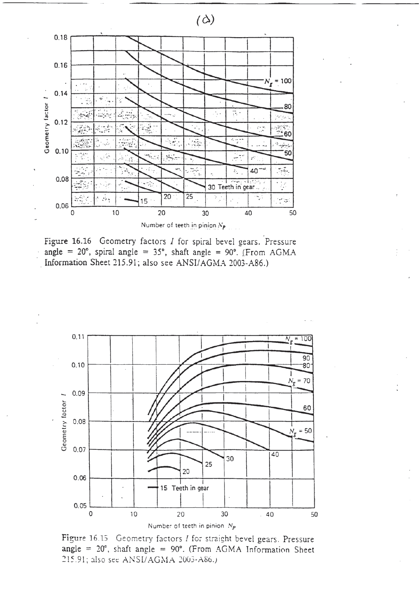

Figure 16.16 Geometry factors  $I$  for spiral bevel gears. Pressure angle =  $20^{\circ}$ , spiral angle =  $35^{\circ}$ , shaft angle =  $90^{\circ}$ . (From AGMA Information Sheet 215.91; also see ANSI/AGMA 2003-A86.)



Figure 16.15 Geometry factors I for straight bevel gears. Pressure angle =  $20^{\circ}$ , shaft angle =  $90^{\circ}$ . (From AGMA Information Sheet 215.91; also see ANSI/AGMA 2003-A86.)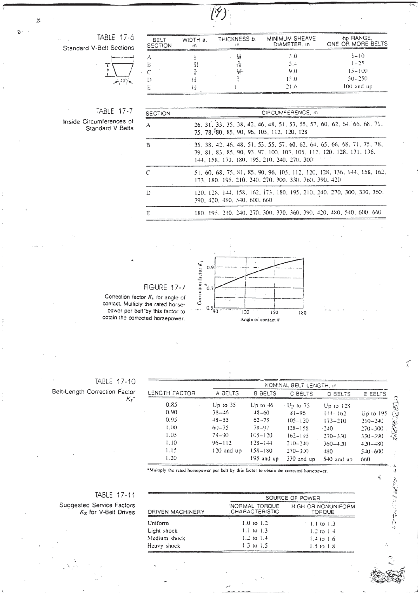$(\hat{\mathsf{y}})$ 

TABLE 17-6

| <b>Standard V-Belt Sections</b> |             |
|---------------------------------|-------------|
|                                 | $-5^{4}04/$ |

| <b>BELT</b><br><b>SECTION</b> | WIDTH a. | THICKNESS <b>b</b> .<br>١n | MINIMUM SHEAVE<br>DIAMETER, in | hp RANGE.<br>ONE OR MORE BELTS |
|-------------------------------|----------|----------------------------|--------------------------------|--------------------------------|
|                               |          |                            | 3.0                            | $1 - 10$                       |
|                               |          |                            | 5.4                            | $1 - 25$                       |
|                               |          | 표                          | 9(0)                           | $15 - 100$                     |
|                               |          |                            | 13.0                           | $50 - 250$                     |
|                               |          |                            | 21.6                           | 100 and up                     |

## TABLE 17-7

Inside Circumferences of<br>Standard V Belts

| <b>SECTION</b> | CIFICUMFERENCE, in                                                                                                                                                                            |
|----------------|-----------------------------------------------------------------------------------------------------------------------------------------------------------------------------------------------|
| A              | 26, 31, 33, 35, 38, 42, 46, 48, 51, 53, 55, 57, 60, 62, 64, 66, 68, 71,<br>75. 78. 80. 85. 90. 96. 105. 112. 120. 128                                                                         |
| B              | 35, 38, 42, 46, 48, 51, 53, 55, 57, 60, 62, 64, 65, 66, 68, 71, 75, 78,<br>79. 81. 83. 85. 90. 93. 97. 100. 103. 105. 112. 120. 128. 131. 136.<br>144, 158, 173, 180, 195, 210, 240, 270, 300 |
| $\mathcal{C}$  | 51, 60, 68, 75, 81, 85, 90, 96, 105, 112, 120, 128, 136, 144, 158, 162,<br>173, 180, 195, 210, 240, 270, 300, 330, 360, 390, 420                                                              |
| D              | 120, 128, 144, 158, 162, 173, 180, 195, 210, 240, 270, 300, 330, 360,<br>390, 420, 480, 540, 600, 660                                                                                         |
| E              | 180, 195, 210, 240, 270, 300, 330, 360, 390, 420, 480, 540, 600, 660                                                                                                                          |

## FIGURE 17-7

Correction factor  $K_t$  for angle of contact. Multiply the rated horsepower per belt by this factor to obtain the corrected horsepower.



TABLE 17-10 Beit-Length Correction Factor  $K_2$ <sup>\*</sup>

| LENGTH FACTOR | NOMINAL BELT LENGTH, in |                |                  |               |               |  |  |
|---------------|-------------------------|----------------|------------------|---------------|---------------|--|--|
|               | A BELTS                 | <b>B BELTS</b> | C BELTS          | D BELTS       | E BELTS       |  |  |
| 0.85          | Up to $35$              | $Up$ to $46$   | $\cdot$ Up to 75 | $Up$ to $12S$ |               |  |  |
| 0.90          | $38 - 46$               | $48 - 60$      | $31 - 96$        | $14-102$      | $Up$ to $195$ |  |  |
| 0.95          | $48 - 55$               | $62 - 75$      | $105 - 120$      | $173 - 210$   | $210 - 240$   |  |  |
| $(X)$ .       | $60 - 75$               | 78-97          | $128 - 158$      | $-240$        | $270 - 300$   |  |  |
| 1.05          | $78 - 90$               | $105 - 120$    | $162 - 195$      | $270 - 330$   | $330 - 390$   |  |  |
| 1.10          | $96 - 112$              | $12S - 144$    | $210 - 240$      | $360 - 420$   | $+20-+80$     |  |  |
| 1.15          | $120$ and $up$          | $158 - 180$    | $270 - 300$      | 480           | $540 - 600$   |  |  |
| 1.20          |                         | $195$ and $up$ | $330$ and up     | $540$ and up  | 660           |  |  |

 $\tilde{i}$ 

3 全社会の11番から

 $\vec{v}_j$ 

\*Multiply the rated horsepower per belt by this factor to obtain the corrected horsepower.

## TABLE 17-11

Suggested Service Factors<br> $K_S$  for V-Belt Drives

|                  | SOURCE OF POWER                        |                              |  |  |  |
|------------------|----------------------------------------|------------------------------|--|--|--|
| DRIVEN MACHINERY | NORMAL TORQUE<br><b>CHARACTERISTIC</b> | HIGH OR NONUNIFORM<br>TORQUE |  |  |  |
| Jniform          | $1.0 \text{ to } 1.2$                  | 1.1 to 1.3                   |  |  |  |
| Light shock      | $1.1 \text{ to } 1.3$                  | $1.2 \text{ to } 1.4$        |  |  |  |
| Medium shock     | $1.2$ to $1.4$                         | $1.4$ to 1.6                 |  |  |  |
| łeavy shock      | $1.3$ to $1.5$                         | $1.5$ to $1.8$               |  |  |  |

 $\mathcal{L}$ 

 $\mathbb{G}^{\times}$ ÷.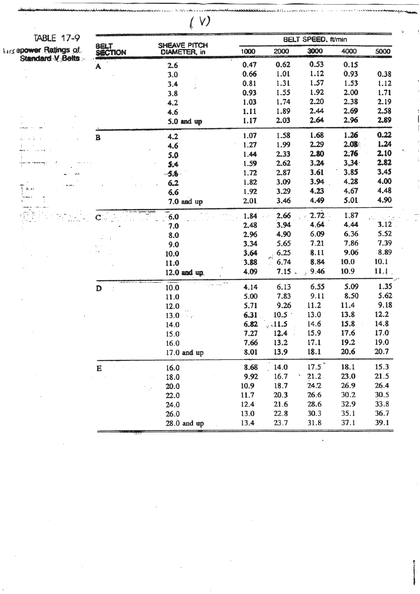| TABLE 17-9           |                         |                              |      | <b>BELT SPEED, ft/min</b> |            |                   |      |  |
|----------------------|-------------------------|------------------------------|------|---------------------------|------------|-------------------|------|--|
| orsepower Ratings of | <b>BELT<br/>SECTION</b> | SHEAVE PITCH<br>DIAMETER, in | 1000 | 2000                      | 3000       | 4000              | 5000 |  |
| Standard V Belts     | A                       | 2.6                          | 0.47 | 0.62                      | 0.53       | 0.15              |      |  |
|                      |                         | 3.0                          | 0.66 | 1.01                      | 1.12       | 0.93              | 0.38 |  |
|                      |                         | 3.4                          | 0.81 | 1.31                      | 1.57       | 1.53              | 1.12 |  |
|                      |                         | 3.8                          | 0.93 | 1.55                      | 1.92       | 2.00              | 1.71 |  |
|                      |                         | 4.2                          | 1.03 | 1.74                      | 2.20       | 2.38              | 2.19 |  |
|                      |                         | 4.6                          | 1.11 | 1.89                      | 2.44       | 2.69              | 2.58 |  |
|                      |                         | $5.0$ and up                 | 1.17 | 2.03                      | 2.64       | 2.96              | 2.89 |  |
|                      | B                       | 4.2                          | 1.07 | 1.58                      | 1.68       | 1.26              | 0.22 |  |
|                      |                         | 4.6                          | 1.27 | 1.99                      | 2.29       | 2.08 <sub>1</sub> | 1.24 |  |
|                      |                         | 5.0                          | 1.44 | 2.33                      | 2.80       | 2.76              | 2.10 |  |
|                      |                         | 5.4                          | 1.59 | 2.62                      | 3.24       | 3,34              | 2.82 |  |
|                      |                         | $-5.8 -$                     | 1.72 | 2.87                      | 3.61       | 3.85              | 3.45 |  |
|                      |                         | 6.2                          | 1.82 | 3.09                      | 3.94       | 4.28              | 4.00 |  |
|                      |                         | 6.6                          | 1.92 | 3.29                      | 4.23       | 4.67              | 4.48 |  |
|                      |                         | 7.0 and up                   | 2.01 | 3.46                      | 4.49       | 5.01              | 4.90 |  |
|                      |                         | 6.0                          | 1.84 | 2.66                      | 2.72       | 1,87              |      |  |
|                      |                         | 7.0                          | 2.48 | 3.94                      | 4.64       | 4.44              | 3.12 |  |
|                      |                         | 8.0                          | 2.96 | 4.90                      | 6.09       | 6.36              | 5.52 |  |
|                      |                         | 9.0                          | 3.34 | 5.65                      | 7.21       | 7.86              | 7.39 |  |
|                      |                         | 10.0                         | 3.64 | 6.25<br>À                 | 8.11       | 9.06              | 8.89 |  |
|                      |                         | 11:0                         | 3.88 | 6.74<br>$\mathbb{R}^2$    | 8.84       | 10.0              | 10.1 |  |
|                      |                         | 12.0 and up.                 | 4.09 | $7.15$ .                  | 9.46<br>ž. | 10.9              | 11.1 |  |
|                      | D                       | 10.0                         | 4.14 | 6.13                      | 6.55       | 5.09              | 1.35 |  |
|                      |                         | 11.0                         | 5.00 | 7.83                      | 9.11       | 8.50              | 5.62 |  |
|                      |                         | 12.0                         | 5.71 | 9.26                      | 11.2       | 11.4              | 9.18 |  |
|                      |                         | 13.0                         | 6.31 | 10.5                      | 13.0       | 13.8              | 12.2 |  |
|                      |                         | 14.0                         | 6.82 | , 11.5                    | 14.6       | 15.8              | 14.8 |  |
|                      |                         | 15.0                         | 7.27 | 12.4                      | 15.9       | 17.6              | 17.0 |  |
|                      |                         | 16.0                         | 7.66 | 13.2                      | 17.1       | 19.2              | 19.0 |  |
|                      |                         | $17.0$ and up                | 8.01 | 13.9                      | 18.1       | 20.6              | 20.7 |  |
|                      | E                       | 16.0                         | 8.68 | 14.0                      | 17.5       | 18.1              | 15.3 |  |
|                      |                         | 18.0                         | 9.92 | 16.7                      | 21.2       | 23.0              | 21.5 |  |
|                      |                         | 20.0                         | 10.9 | 18.7                      | 24.2       | 26.9              | 26.4 |  |
|                      |                         | 22.0                         | 11.7 | 20.3                      | 26.6       | 30.2              | 30.5 |  |
|                      |                         | 24.0                         | 12.4 | 21.6                      | 28.6       | 32.9              | 33.8 |  |
|                      |                         | 26.0                         | 13.0 | 22.8                      | 30.3       | 35.1              | 36.7 |  |
|                      |                         | $28.0$ and up                | 13.4 | 23.7                      | 31.8       | 37.1              | 39.1 |  |

 $\overline{\phantom{a}}$ 

 $\ddot{\phantom{0}}$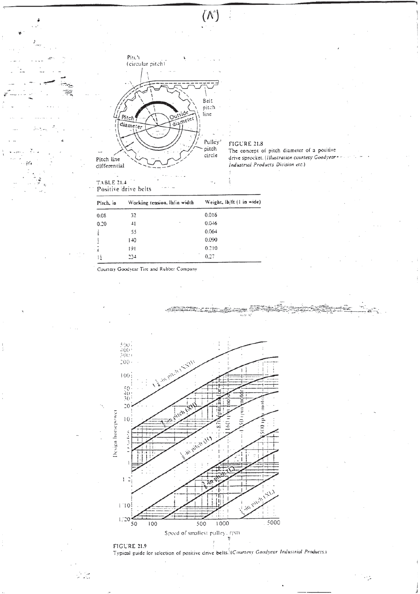

 $(\wedge)$ 

TABLE 21.4<br>Positive drive belts

سونې<br>سرچينې

FIGURE 21.8

The concept of pitch diameter of a positive drive sprecket. (Illustration courtesy Goodyear Industrial Products Division etc.)

| Pitch, in | Working tension, lb/in width | Weight, lb/ft (1 in wide) |  |  |  |
|-----------|------------------------------|---------------------------|--|--|--|
| 0.08      | 32                           | 0.016                     |  |  |  |
| 0.20      | 41                           | 0.046                     |  |  |  |
|           | 55                           | 0.064                     |  |  |  |
|           | $1 + 0$                      | 0.090                     |  |  |  |
| Ã         | 191                          | 0.210                     |  |  |  |
| 11        | 234                          | 0.27                      |  |  |  |

Courtesy Goodyear Tire and Rubber Company



Typical guide for selection of positive drive belts. (Courtesy Goodyear Industrial Products.)